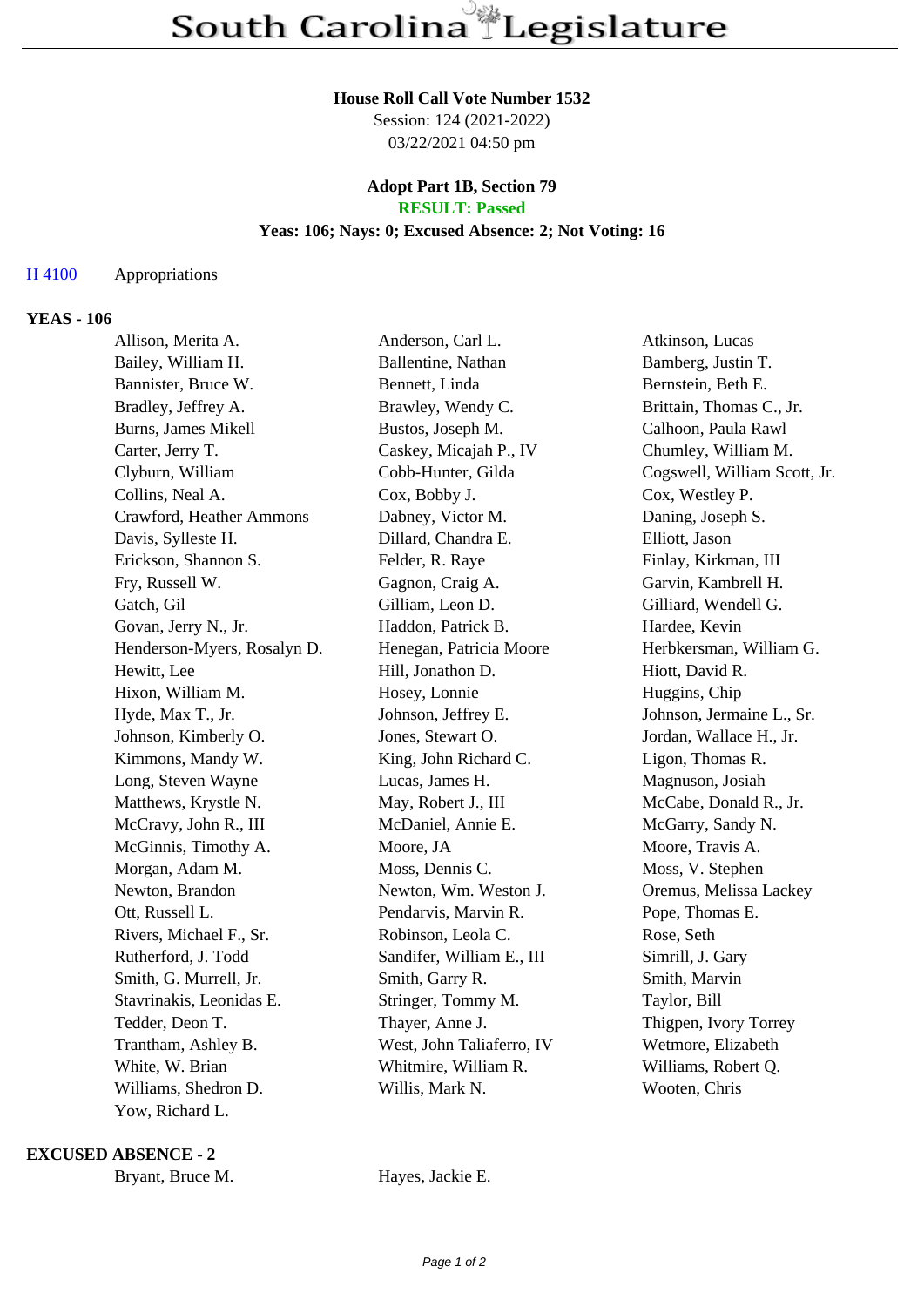#### **House Roll Call Vote Number 1532**

Session: 124 (2021-2022) 03/22/2021 04:50 pm

#### **Adopt Part 1B, Section 79 RESULT: Passed**

## **Yeas: 106; Nays: 0; Excused Absence: 2; Not Voting: 16**

### H 4100 Appropriations

### **YEAS - 106**

| Allison, Merita A.          | Anderson, Carl L.         | Atkinson, Lucas              |
|-----------------------------|---------------------------|------------------------------|
| Bailey, William H.          | Ballentine, Nathan        | Bamberg, Justin T.           |
| Bannister, Bruce W.         | Bennett, Linda            | Bernstein, Beth E.           |
| Bradley, Jeffrey A.         | Brawley, Wendy C.         | Brittain, Thomas C., Jr.     |
| <b>Burns, James Mikell</b>  | Bustos, Joseph M.         | Calhoon, Paula Rawl          |
| Carter, Jerry T.            | Caskey, Micajah P., IV    | Chumley, William M.          |
| Clyburn, William            | Cobb-Hunter, Gilda        | Cogswell, William Scott, Jr. |
| Collins, Neal A.            | Cox, Bobby J.             | Cox, Westley P.              |
| Crawford, Heather Ammons    | Dabney, Victor M.         | Daning, Joseph S.            |
| Davis, Sylleste H.          | Dillard, Chandra E.       | Elliott, Jason               |
| Erickson, Shannon S.        | Felder, R. Raye           | Finlay, Kirkman, III         |
| Fry, Russell W.             | Gagnon, Craig A.          | Garvin, Kambrell H.          |
| Gatch, Gil                  | Gilliam, Leon D.          | Gilliard, Wendell G.         |
| Govan, Jerry N., Jr.        | Haddon, Patrick B.        | Hardee, Kevin                |
| Henderson-Myers, Rosalyn D. | Henegan, Patricia Moore   | Herbkersman, William G.      |
| Hewitt, Lee                 | Hill, Jonathon D.         | Hiott, David R.              |
| Hixon, William M.           | Hosey, Lonnie             | Huggins, Chip                |
| Hyde, Max T., Jr.           | Johnson, Jeffrey E.       | Johnson, Jermaine L., Sr.    |
| Johnson, Kimberly O.        | Jones, Stewart O.         | Jordan, Wallace H., Jr.      |
| Kimmons, Mandy W.           | King, John Richard C.     | Ligon, Thomas R.             |
| Long, Steven Wayne          | Lucas, James H.           | Magnuson, Josiah             |
| Matthews, Krystle N.        | May, Robert J., III       | McCabe, Donald R., Jr.       |
| McCravy, John R., III       | McDaniel, Annie E.        | McGarry, Sandy N.            |
| McGinnis, Timothy A.        | Moore, JA                 | Moore, Travis A.             |
| Morgan, Adam M.             | Moss, Dennis C.           | Moss, V. Stephen             |
| Newton, Brandon             | Newton, Wm. Weston J.     | Oremus, Melissa Lackey       |
| Ott, Russell L.             | Pendarvis, Marvin R.      | Pope, Thomas E.              |
| Rivers, Michael F., Sr.     | Robinson, Leola C.        | Rose, Seth                   |
| Rutherford, J. Todd         | Sandifer, William E., III | Simrill, J. Gary             |
| Smith, G. Murrell, Jr.      | Smith, Garry R.           | Smith, Marvin                |
| Stavrinakis, Leonidas E.    | Stringer, Tommy M.        | Taylor, Bill                 |
| Tedder, Deon T.             | Thayer, Anne J.           | Thigpen, Ivory Torrey        |
| Trantham, Ashley B.         | West, John Taliaferro, IV | Wetmore, Elizabeth           |
| White, W. Brian             | Whitmire, William R.      | Williams, Robert Q.          |
| Williams, Shedron D.        | Willis, Mark N.           | Wooten, Chris                |
| Yow, Richard L.             |                           |                              |

#### **EXCUSED ABSENCE - 2**

Bryant, Bruce M. Hayes, Jackie E.